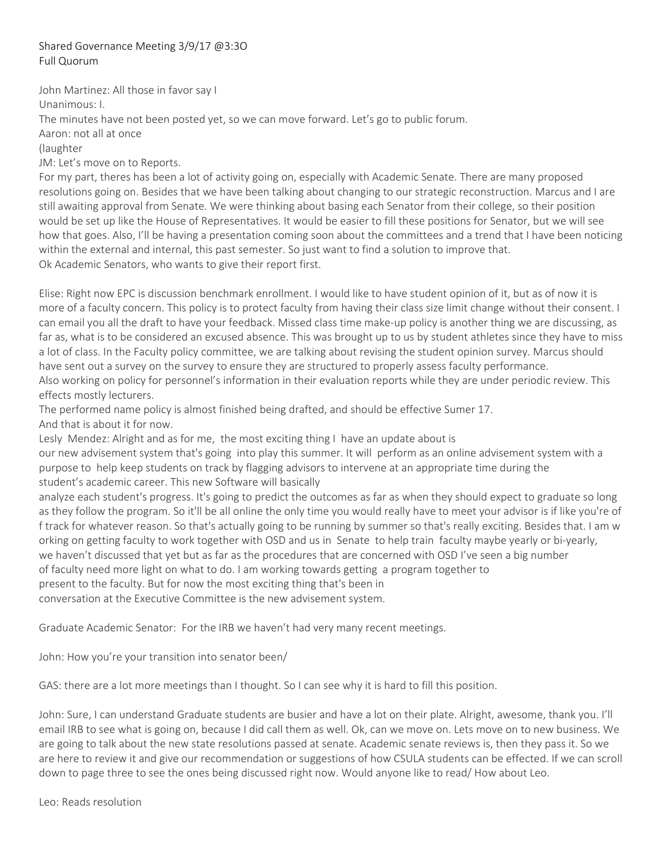## Shared Governance Meeting 3/9/17 @3:3O Full Quorum

John Martinez: All those in favor say I

Unanimous: I.

The minutes have not been posted yet, so we can move forward. Let's go to public forum.

Aaron: not all at once

(laughter

JM: Let's move on to Reports.

For my part, theres has been a lot of activity going on, especially with Academic Senate. There are many proposed resolutions going on. Besides that we have been talking about changing to our strategic reconstruction. Marcus and I are still awaiting approval from Senate. We were thinking about basing each Senator from their college, so their position would be set up like the House of Representatives. It would be easier to fill these positions for Senator, but we will see how that goes. Also, I'll be having a presentation coming soon about the committees and a trend that I have been noticing within the external and internal, this past semester. So just want to find a solution to improve that. Ok Academic Senators, who wants to give their report first.

Elise: Right now EPC is discussion benchmark enrollment. I would like to have student opinion of it, but as of now it is more of a faculty concern. This policy is to protect faculty from having their class size limit change without their consent. I can email you all the draft to have your feedback. Missed class time make‐up policy is another thing we are discussing, as far as, what is to be considered an excused absence. This was brought up to us by student athletes since they have to miss a lot of class. In the Faculty policy committee, we are talking about revising the student opinion survey. Marcus should have sent out a survey on the survey to ensure they are structured to properly assess faculty performance. Also working on policy for personnel's information in their evaluation reports while they are under periodic review. This effects mostly lecturers.

The performed name policy is almost finished being drafted, and should be effective Sumer 17. And that is about it for now.

Lesly Mendez: Alright and as for me, the most exciting thing I have an update about is

our new advisement system that's going into play this summer. It will perform as an online advisement system with a purpose to help keep students on track by flagging advisors to intervene at an appropriate time during the student's academic career. This new Software will basically

analyze each student's progress. It's going to predict the outcomes as far as when they should expect to graduate so long as they follow the program. So it'll be all online the only time you would really have to meet your advisor is if like you're of f track for whatever reason. So that's actually going to be running by summer so that's really exciting. Besides that. I am w orking on getting faculty to work together with OSD and us in Senate to help train faculty maybe yearly or bi‐yearly, we haven't discussed that yet but as far as the procedures that are concerned with OSD I've seen a big number of faculty need more light on what to do. I am working towards getting a program together to

present to the faculty. But for now the most exciting thing that's been in

conversation at the Executive Committee is the new advisement system.

Graduate Academic Senator: For the IRB we haven't had very many recent meetings.

John: How you're your transition into senator been/

GAS: there are a lot more meetings than I thought. So I can see why it is hard to fill this position.

John: Sure, I can understand Graduate students are busier and have a lot on their plate. Alright, awesome, thank you. I'll email IRB to see what is going on, because I did call them as well. Ok, can we move on. Lets move on to new business. We are going to talk about the new state resolutions passed at senate. Academic senate reviews is, then they pass it. So we are here to review it and give our recommendation or suggestions of how CSULA students can be effected. If we can scroll down to page three to see the ones being discussed right now. Would anyone like to read/ How about Leo.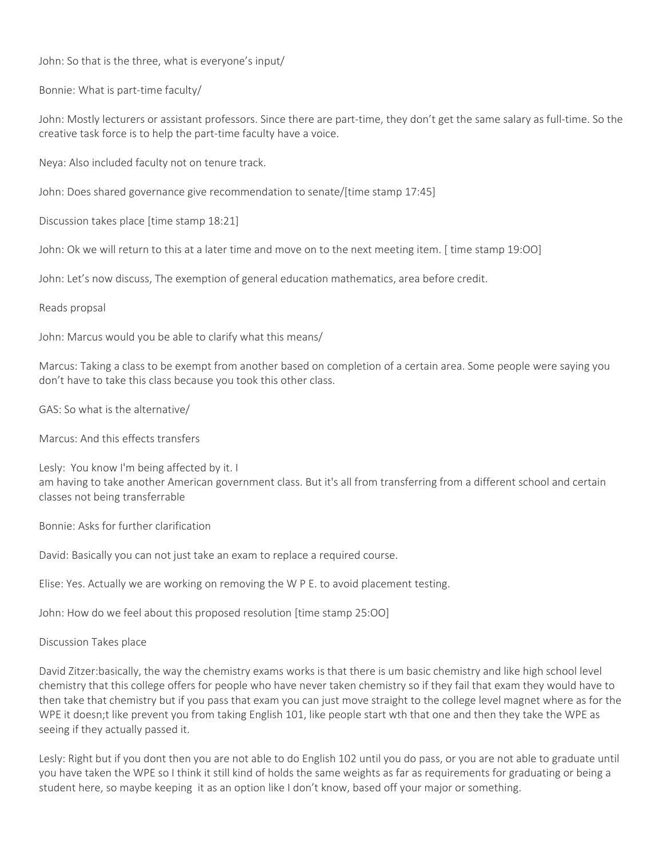John: So that is the three, what is everyone's input/

Bonnie: What is part‐time faculty/

John: Mostly lecturers or assistant professors. Since there are part-time, they don't get the same salary as full-time. So the creative task force is to help the part‐time faculty have a voice.

Neya: Also included faculty not on tenure track.

John: Does shared governance give recommendation to senate/[time stamp 17:45]

Discussion takes place [time stamp 18:21]

John: Ok we will return to this at a later time and move on to the next meeting item. [ time stamp 19:OO]

John: Let's now discuss, The exemption of general education mathematics, area before credit.

## Reads propsal

John: Marcus would you be able to clarify what this means/

Marcus: Taking a class to be exempt from another based on completion of a certain area. Some people were saying you don't have to take this class because you took this other class.

GAS: So what is the alternative/

Marcus: And this effects transfers

Lesly: You know I'm being affected by it. I am having to take another American government class. But it's all from transferring from a different school and certain classes not being transferrable

Bonnie: Asks for further clarification

David: Basically you can not just take an exam to replace a required course.

Elise: Yes. Actually we are working on removing the W P E. to avoid placement testing.

John: How do we feel about this proposed resolution [time stamp 25:OO]

Discussion Takes place

David Zitzer:basically, the way the chemistry exams works is that there is um basic chemistry and like high school level chemistry that this college offers for people who have never taken chemistry so if they fail that exam they would have to then take that chemistry but if you pass that exam you can just move straight to the college level magnet where as for the WPE it doesn;t like prevent you from taking English 101, like people start wth that one and then they take the WPE as seeing if they actually passed it.

Lesly: Right but if you dont then you are not able to do English 102 until you do pass, or you are not able to graduate until you have taken the WPE so I think it still kind of holds the same weights as far as requirements for graduating or being a student here, so maybe keeping it as an option like I don't know, based off your major or something.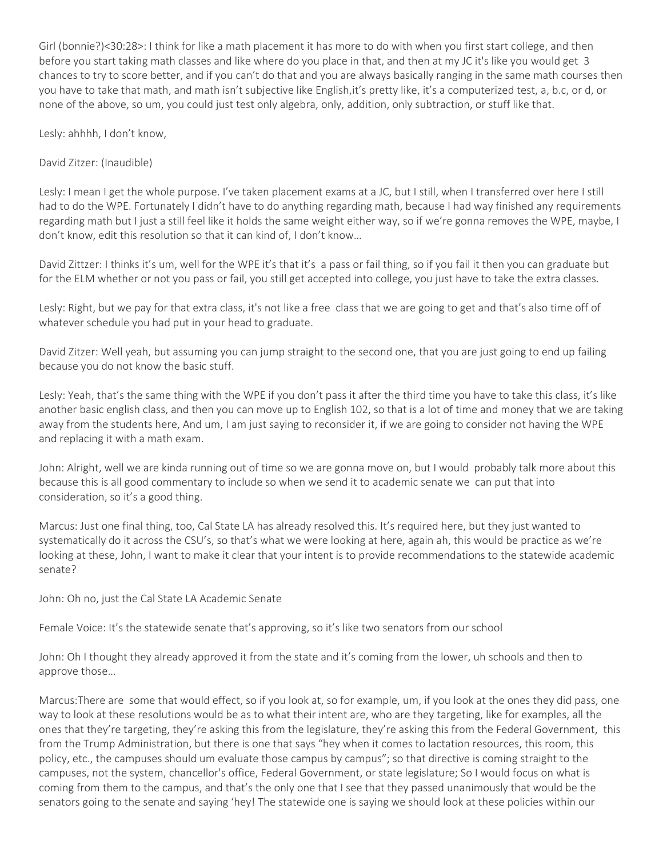Girl (bonnie?)<30:28>: I think for like a math placement it has more to do with when you first start college, and then before you start taking math classes and like where do you place in that, and then at my JC it's like you would get 3 chances to try to score better, and if you can't do that and you are always basically ranging in the same math courses then you have to take that math, and math isn't subjective like English,it's pretty like, it's a computerized test, a, b.c, or d, or none of the above, so um, you could just test only algebra, only, addition, only subtraction, or stuff like that.

Lesly: ahhhh, I don't know,

David Zitzer: (Inaudible)

Lesly: I mean I get the whole purpose. I've taken placement exams at a JC, but I still, when I transferred over here I still had to do the WPE. Fortunately I didn't have to do anything regarding math, because I had way finished any requirements regarding math but I just a still feel like it holds the same weight either way, so if we're gonna removes the WPE, maybe, I don't know, edit this resolution so that it can kind of, I don't know…

David Zittzer: I thinks it's um, well for the WPE it's that it's a pass or fail thing, so if you fail it then you can graduate but for the ELM whether or not you pass or fail, you still get accepted into college, you just have to take the extra classes.

Lesly: Right, but we pay for that extra class, it's not like a free class that we are going to get and that's also time off of whatever schedule you had put in your head to graduate.

David Zitzer: Well yeah, but assuming you can jump straight to the second one, that you are just going to end up failing because you do not know the basic stuff.

Lesly: Yeah, that's the same thing with the WPE if you don't pass it after the third time you have to take this class, it's like another basic english class, and then you can move up to English 102, so that is a lot of time and money that we are taking away from the students here, And um, I am just saying to reconsider it, if we are going to consider not having the WPE and replacing it with a math exam.

John: Alright, well we are kinda running out of time so we are gonna move on, but I would probably talk more about this because this is all good commentary to include so when we send it to academic senate we can put that into consideration, so it's a good thing.

Marcus: Just one final thing, too, Cal State LA has already resolved this. It's required here, but they just wanted to systematically do it across the CSU's, so that's what we were looking at here, again ah, this would be practice as we're looking at these, John, I want to make it clear that your intent is to provide recommendations to the statewide academic senate?

John: Oh no, just the Cal State LA Academic Senate

Female Voice: It's the statewide senate that's approving, so it's like two senators from our school

John: Oh I thought they already approved it from the state and it's coming from the lower, uh schools and then to approve those…

Marcus:There are some that would effect, so if you look at, so for example, um, if you look at the ones they did pass, one way to look at these resolutions would be as to what their intent are, who are they targeting, like for examples, all the ones that they're targeting, they're asking this from the legislature, they're asking this from the Federal Government, this from the Trump Administration, but there is one that says "hey when it comes to lactation resources, this room, this policy, etc., the campuses should um evaluate those campus by campus"; so that directive is coming straight to the campuses, not the system, chancellor's office, Federal Government, or state legislature; So I would focus on what is coming from them to the campus, and that's the only one that I see that they passed unanimously that would be the senators going to the senate and saying 'hey! The statewide one is saying we should look at these policies within our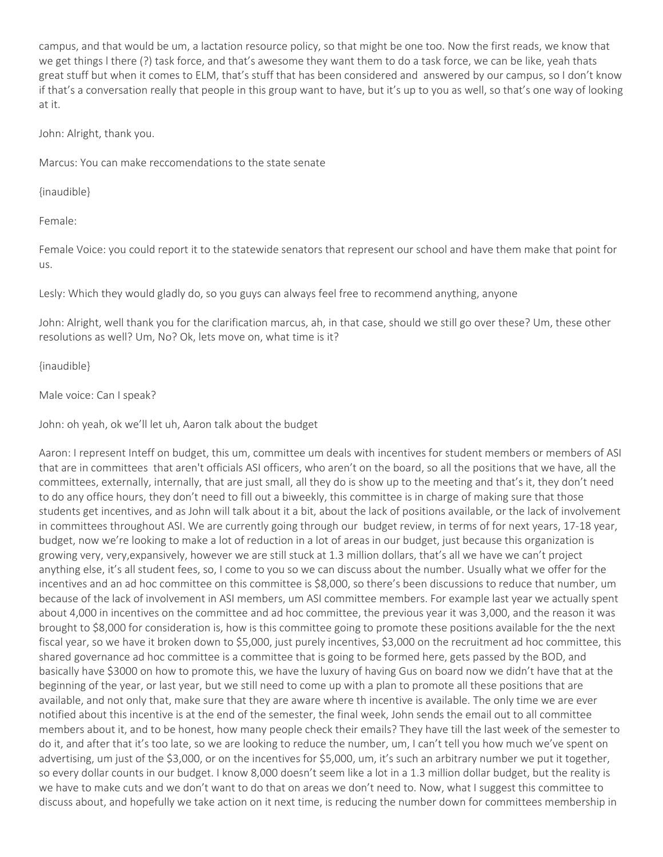campus, and that would be um, a lactation resource policy, so that might be one too. Now the first reads, we know that we get things l there (?) task force, and that's awesome they want them to do a task force, we can be like, yeah thats great stuff but when it comes to ELM, that's stuff that has been considered and answered by our campus, so I don't know if that's a conversation really that people in this group want to have, but it's up to you as well, so that's one way of looking at it.

John: Alright, thank you.

Marcus: You can make reccomendations to the state senate

{inaudible}

Female:

Female Voice: you could report it to the statewide senators that represent our school and have them make that point for us.

Lesly: Which they would gladly do, so you guys can always feel free to recommend anything, anyone

John: Alright, well thank you for the clarification marcus, ah, in that case, should we still go over these? Um, these other resolutions as well? Um, No? Ok, lets move on, what time is it?

{inaudible}

Male voice: Can I speak?

John: oh yeah, ok we'll let uh, Aaron talk about the budget

Aaron: I represent Inteff on budget, this um, committee um deals with incentives for student members or members of ASI that are in committees that aren't officials ASI officers, who aren't on the board, so all the positions that we have, all the committees, externally, internally, that are just small, all they do is show up to the meeting and that's it, they don't need to do any office hours, they don't need to fill out a biweekly, this committee is in charge of making sure that those students get incentives, and as John will talk about it a bit, about the lack of positions available, or the lack of involvement in committees throughout ASI. We are currently going through our budget review, in terms of for next years, 17‐18 year, budget, now we're looking to make a lot of reduction in a lot of areas in our budget, just because this organization is growing very, very,expansively, however we are still stuck at 1.3 million dollars, that's all we have we can't project anything else, it's all student fees, so, I come to you so we can discuss about the number. Usually what we offer for the incentives and an ad hoc committee on this committee is \$8,000, so there's been discussions to reduce that number, um because of the lack of involvement in ASI members, um ASI committee members. For example last year we actually spent about 4,000 in incentives on the committee and ad hoc committee, the previous year it was 3,000, and the reason it was brought to \$8,000 for consideration is, how is this committee going to promote these positions available for the the next fiscal year, so we have it broken down to \$5,000, just purely incentives, \$3,000 on the recruitment ad hoc committee, this shared governance ad hoc committee is a committee that is going to be formed here, gets passed by the BOD, and basically have \$3000 on how to promote this, we have the luxury of having Gus on board now we didn't have that at the beginning of the year, or last year, but we still need to come up with a plan to promote all these positions that are available, and not only that, make sure that they are aware where th incentive is available. The only time we are ever notified about this incentive is at the end of the semester, the final week, John sends the email out to all committee members about it, and to be honest, how many people check their emails? They have till the last week of the semester to do it, and after that it's too late, so we are looking to reduce the number, um, I can't tell you how much we've spent on advertising, um just of the \$3,000, or on the incentives for \$5,000, um, it's such an arbitrary number we put it together, so every dollar counts in our budget. I know 8,000 doesn't seem like a lot in a 1.3 million dollar budget, but the reality is we have to make cuts and we don't want to do that on areas we don't need to. Now, what I suggest this committee to discuss about, and hopefully we take action on it next time, is reducing the number down for committees membership in